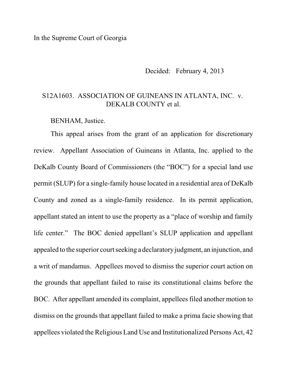In the Supreme Court of Georgia

Decided: February 4, 2013

## S12A1603. ASSOCIATION OF GUINEANS IN ATLANTA, INC. v. DEKALB COUNTY et al.

BENHAM, Justice.

This appeal arises from the grant of an application for discretionary review. Appellant Association of Guineans in Atlanta, Inc. applied to the DeKalb County Board of Commissioners (the "BOC") for a special land use permit (SLUP) for a single-family house located in a residential area of DeKalb County and zoned as a single-family residence. In its permit application, appellant stated an intent to use the property as a "place of worship and family life center." The BOC denied appellant's SLUP application and appellant appealed to the superior court seeking a declaratory judgment, an injunction, and a writ of mandamus. Appellees moved to dismiss the superior court action on the grounds that appellant failed to raise its constitutional claims before the BOC. After appellant amended its complaint, appellees filed another motion to dismiss on the grounds that appellant failed to make a prima facie showing that appellees violated the Religious Land Use and Institutionalized Persons Act, 42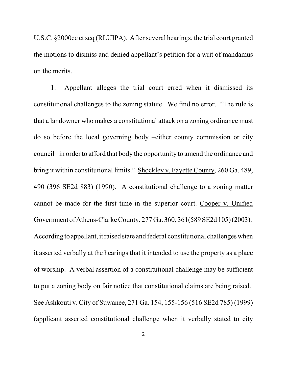U.S.C. §2000cc et seq (RLUIPA). After several hearings, the trial court granted the motions to dismiss and denied appellant's petition for a writ of mandamus on the merits.

1. Appellant alleges the trial court erred when it dismissed its constitutional challenges to the zoning statute. We find no error. "The rule is that a landowner who makes a constitutional attack on a zoning ordinance must do so before the local governing body –either county commission or city council– in order to afford that body the opportunity to amend the ordinance and bring it within constitutional limits." Shockley v. Fayette County, 260 Ga. 489, 490 (396 SE2d 883) (1990). A constitutional challenge to a zoning matter cannot be made for the first time in the superior court. Cooper v. Unified Government of Athens-Clarke County, 277 Ga. 360, 361(589 SE2d 105)(2003). According to appellant, it raised state and federal constitutional challenges when it asserted verbally at the hearings that it intended to use the property as a place of worship. A verbal assertion of a constitutional challenge may be sufficient to put a zoning body on fair notice that constitutional claims are being raised. See Ashkouti v. City of Suwanee, 271 Ga. 154, 155-156 (516 SE2d 785) (1999) (applicant asserted constitutional challenge when it verbally stated to city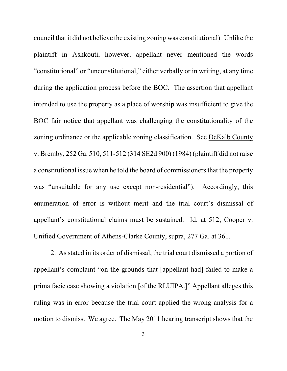council that it did not believe the existing zoning was constitutional). Unlike the plaintiff in Ashkouti, however, appellant never mentioned the words "constitutional" or "unconstitutional," either verbally or in writing, at any time during the application process before the BOC. The assertion that appellant intended to use the property as a place of worship was insufficient to give the BOC fair notice that appellant was challenging the constitutionality of the zoning ordinance or the applicable zoning classification. See DeKalb County v. Bremby, 252 Ga. 510, 511-512 (314 SE2d 900) (1984) (plaintiff did not raise a constitutional issue when he told the board of commissioners that the property was "unsuitable for any use except non-residential"). Accordingly, this enumeration of error is without merit and the trial court's dismissal of appellant's constitutional claims must be sustained. Id. at 512; Cooper v. Unified Government of Athens-Clarke County, supra, 277 Ga. at 361.

2. As stated in its order of dismissal, the trial court dismissed a portion of appellant's complaint "on the grounds that [appellant had] failed to make a prima facie case showing a violation [of the RLUIPA.]" Appellant alleges this ruling was in error because the trial court applied the wrong analysis for a motion to dismiss. We agree. The May 2011 hearing transcript shows that the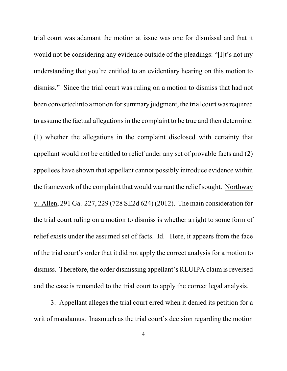trial court was adamant the motion at issue was one for dismissal and that it would not be considering any evidence outside of the pleadings: "[I]t's not my understanding that you're entitled to an evidentiary hearing on this motion to dismiss." Since the trial court was ruling on a motion to dismiss that had not been converted into a motion for summary judgment, the trial court was required to assume the factual allegations in the complaint to be true and then determine: (1) whether the allegations in the complaint disclosed with certainty that appellant would not be entitled to relief under any set of provable facts and (2) appellees have shown that appellant cannot possibly introduce evidence within the framework of the complaint that would warrant the relief sought. Northway v. Allen, 291 Ga. 227, 229 (728 SE2d 624) (2012). The main consideration for the trial court ruling on a motion to dismiss is whether a right to some form of relief exists under the assumed set of facts. Id. Here, it appears from the face of the trial court's order that it did not apply the correct analysis for a motion to dismiss. Therefore, the order dismissing appellant's RLUIPA claim is reversed and the case is remanded to the trial court to apply the correct legal analysis.

3. Appellant alleges the trial court erred when it denied its petition for a writ of mandamus. Inasmuch as the trial court's decision regarding the motion